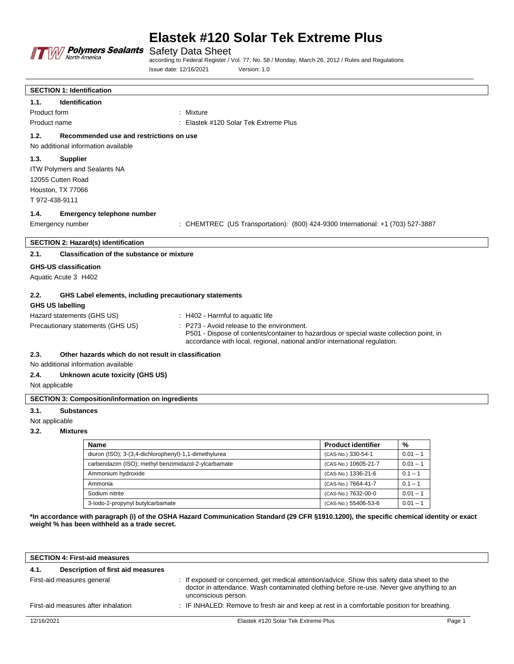

according to Federal Register / Vol. 77, No. 58 / Monday, March 26, 2012 / Rules and Regulations Issue date: 12/16/2021 Version: 1.0

|                | <b>SECTION 1: Identification</b>                         |                                                                                                                                                                                                                     |  |  |
|----------------|----------------------------------------------------------|---------------------------------------------------------------------------------------------------------------------------------------------------------------------------------------------------------------------|--|--|
| 1.1.           | <b>Identification</b>                                    |                                                                                                                                                                                                                     |  |  |
| Product form   |                                                          | : Mixture                                                                                                                                                                                                           |  |  |
| Product name   |                                                          | Elastek #120 Solar Tek Extreme Plus                                                                                                                                                                                 |  |  |
| 1.2.           | Recommended use and restrictions on use                  |                                                                                                                                                                                                                     |  |  |
|                | No additional information available                      |                                                                                                                                                                                                                     |  |  |
| 1.3.           | <b>Supplier</b>                                          |                                                                                                                                                                                                                     |  |  |
|                | ITW Polymers and Sealants NA                             |                                                                                                                                                                                                                     |  |  |
|                | 12055 Cutten Road                                        |                                                                                                                                                                                                                     |  |  |
|                | Houston, TX 77066                                        |                                                                                                                                                                                                                     |  |  |
|                | T 972-438-9111                                           |                                                                                                                                                                                                                     |  |  |
| 1.4.           | <b>Emergency telephone number</b>                        |                                                                                                                                                                                                                     |  |  |
|                | Emergency number                                         | : CHEMTREC (US Transportation): (800) 424-9300 International: +1 (703) 527-3887                                                                                                                                     |  |  |
|                | SECTION 2: Hazard(s) identification                      |                                                                                                                                                                                                                     |  |  |
| 2.1.           | <b>Classification of the substance or mixture</b>        |                                                                                                                                                                                                                     |  |  |
|                | <b>GHS-US classification</b>                             |                                                                                                                                                                                                                     |  |  |
|                | Aquatic Acute 3 H402                                     |                                                                                                                                                                                                                     |  |  |
| 2.2.           | GHS Label elements, including precautionary statements   |                                                                                                                                                                                                                     |  |  |
|                | <b>GHS US labelling</b>                                  |                                                                                                                                                                                                                     |  |  |
|                | Hazard statements (GHS US)                               | : H402 - Harmful to aquatic life                                                                                                                                                                                    |  |  |
|                | Precautionary statements (GHS US)                        | : P273 - Avoid release to the environment.<br>P501 - Dispose of contents/container to hazardous or special waste collection point, in<br>accordance with local, regional, national and/or international regulation. |  |  |
| 2.3.           | Other hazards which do not result in classification      |                                                                                                                                                                                                                     |  |  |
|                | No additional information available                      |                                                                                                                                                                                                                     |  |  |
| 2.4.           | Unknown acute toxicity (GHS US)                          |                                                                                                                                                                                                                     |  |  |
|                | Not applicable                                           |                                                                                                                                                                                                                     |  |  |
|                | <b>SECTION 3: Composition/information on ingredients</b> |                                                                                                                                                                                                                     |  |  |
| 3.1.           | <b>Substances</b>                                        |                                                                                                                                                                                                                     |  |  |
| Not applicable |                                                          |                                                                                                                                                                                                                     |  |  |
| 3.2.           | <b>Mixtures</b>                                          |                                                                                                                                                                                                                     |  |  |

| <b>Name</b>                                           | <b>Product identifier</b> | %          |
|-------------------------------------------------------|---------------------------|------------|
| diuron (ISO); 3-(3,4-dichlorophenyl)-1,1-dimethylurea | (CAS-No.) 330-54-1        | $0.01 - 1$ |
| carbendazim (ISO); methyl benzimidazol-2-ylcarbamate  | (CAS-No.) 10605-21-7      | $0.01 - 1$ |
| Ammonium hydroxide                                    | (CAS-No.) 1336-21-6       | $0.1 - 1$  |
| Ammonia                                               | (CAS-No.) 7664-41-7       | $0.1 - 1$  |
| Sodium nitrite                                        | (CAS-No.) 7632-00-0       | $0.01 - 1$ |
| 3-lodo-2-propynyl butylcarbamate                      | (CAS-No.) 55406-53-6      | $0.01 - 1$ |

**\*In accordance with paragraph (i) of the OSHA Hazard Communication Standard (29 CFR §1910.1200), the specific chemical identity or exact weight % has been withheld as a trade secret.**

| <b>SECTION 4: First-aid measures</b> |                                   |                                                                                                                                                                                                                 |        |  |
|--------------------------------------|-----------------------------------|-----------------------------------------------------------------------------------------------------------------------------------------------------------------------------------------------------------------|--------|--|
| 4.1.                                 | Description of first aid measures |                                                                                                                                                                                                                 |        |  |
| First-aid measures general           |                                   | : If exposed or concerned, get medical attention/advice. Show this safety data sheet to the<br>doctor in attendance. Wash contaminated clothing before re-use. Never give anything to an<br>unconscious person. |        |  |
| First-aid measures after inhalation  |                                   | : IF INHALED: Remove to fresh air and keep at rest in a comfortable position for breathing.                                                                                                                     |        |  |
| 12/16/2021                           |                                   | Elastek #120 Solar Tek Extreme Plus                                                                                                                                                                             | Page 1 |  |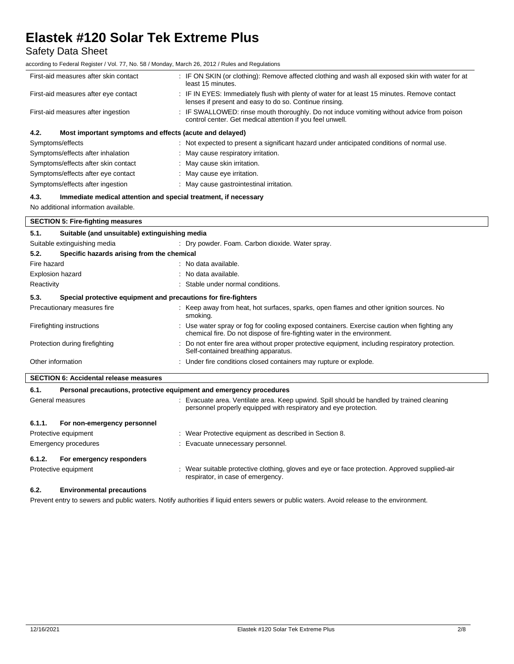Safety Data Sheet

according to Federal Register / Vol. 77, No. 58 / Monday, March 26, 2012 / Rules and Regulations

| First-aid measures after skin contact                           | : IF ON SKIN (or clothing): Remove affected clothing and wash all exposed skin with water for at<br>least 15 minutes.                                  |  |  |
|-----------------------------------------------------------------|--------------------------------------------------------------------------------------------------------------------------------------------------------|--|--|
| First-aid measures after eye contact                            | : IF IN EYES: Immediately flush with plenty of water for at least 15 minutes. Remove contact<br>lenses if present and easy to do so. Continue rinsing. |  |  |
| First-aid measures after ingestion                              | : IF SWALLOWED: rinse mouth thoroughly. Do not induce vomiting without advice from poison<br>control center. Get medical attention if you feel unwell. |  |  |
| Most important symptoms and effects (acute and delayed)<br>4.2. |                                                                                                                                                        |  |  |
| Symptoms/effects                                                | : Not expected to present a significant hazard under anticipated conditions of normal use.                                                             |  |  |
| Symptoms/effects after inhalation                               | : May cause respiratory irritation.                                                                                                                    |  |  |
| Symptoms/effects after skin contact                             | : May cause skin irritation.                                                                                                                           |  |  |
| Symptoms/effects after eye contact                              | : May cause eye irritation.                                                                                                                            |  |  |
| Symptoms/effects after ingestion                                | : May cause gastrointestinal irritation.                                                                                                               |  |  |

## **4.3. Immediate medical attention and special treatment, if necessary**

No additional information available.

| <b>SECTION 5: Fire-fighting measures</b>      |                                                                     |                                                                                                                                                                         |  |  |
|-----------------------------------------------|---------------------------------------------------------------------|-------------------------------------------------------------------------------------------------------------------------------------------------------------------------|--|--|
| 5.1.                                          | Suitable (and unsuitable) extinguishing media                       |                                                                                                                                                                         |  |  |
|                                               | Suitable extinguishing media                                        | : Dry powder. Foam. Carbon dioxide. Water spray.                                                                                                                        |  |  |
| 5.2.                                          | Specific hazards arising from the chemical                          |                                                                                                                                                                         |  |  |
| Fire hazard                                   |                                                                     | : No data available.                                                                                                                                                    |  |  |
| <b>Explosion hazard</b>                       |                                                                     | No data available.                                                                                                                                                      |  |  |
| Reactivity                                    |                                                                     | : Stable under normal conditions.                                                                                                                                       |  |  |
| 5.3.                                          | Special protective equipment and precautions for fire-fighters      |                                                                                                                                                                         |  |  |
| Precautionary measures fire                   |                                                                     | Keep away from heat, hot surfaces, sparks, open flames and other ignition sources. No<br>smoking.                                                                       |  |  |
| Firefighting instructions                     |                                                                     | : Use water spray or fog for cooling exposed containers. Exercise caution when fighting any<br>chemical fire. Do not dispose of fire-fighting water in the environment. |  |  |
| Protection during firefighting                |                                                                     | Do not enter fire area without proper protective equipment, including respiratory protection.<br>Self-contained breathing apparatus.                                    |  |  |
| Other information                             |                                                                     | : Under fire conditions closed containers may rupture or explode.                                                                                                       |  |  |
| <b>SECTION 6: Accidental release measures</b> |                                                                     |                                                                                                                                                                         |  |  |
| 6.1.                                          | Personal precautions, protective equipment and emergency procedures |                                                                                                                                                                         |  |  |
| General measures                              |                                                                     | : Evacuate area. Ventilate area. Keep upwind. Spill should be handled by trained cleaning<br>personnel properly equipped with respiratory and eye protection.           |  |  |
| 6.1.1.                                        | For non-emergency personnel                                         |                                                                                                                                                                         |  |  |

# **6.1.2. For emergency responders**

Protective equipment : Wear suitable protective clothing, gloves and eye or face protection. Approved supplied-air respirator, in case of emergency.

## **6.2. Environmental precautions**

Prevent entry to sewers and public waters. Notify authorities if liquid enters sewers or public waters. Avoid release to the environment.

Protective equipment : Wear Protective equipment as described in Section 8.

Emergency procedures **in the contract of the Contract Execute** Execute unnecessary personnel.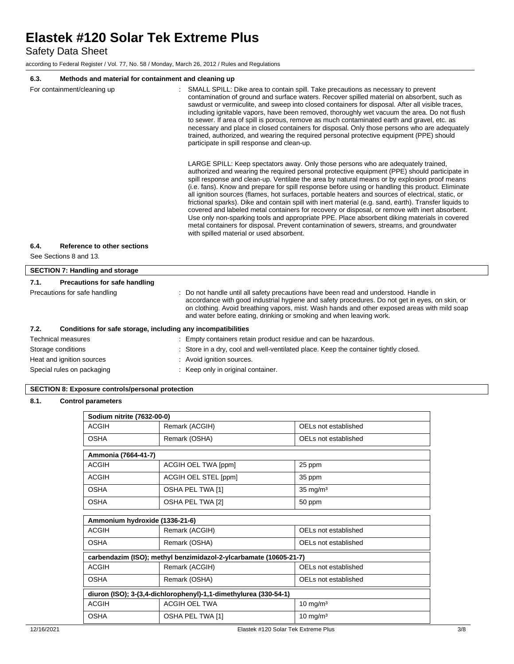Safety Data Sheet

according to Federal Register / Vol. 77, No. 58 / Monday, March 26, 2012 / Rules and Regulations

# **6.3. Methods and material for containment and cleaning up**

| methods and material for contaminent and cleaning up                 |                                                                                                                                                                                                                                                                                                                                                                                                                                                                                                                                                                                                                                                                                                                                                                                                                                                                                                                                                                                                                                                                                                                                                                                                                                                                                                                                                                                                                                                                                                                                                                                                                                                                                   |  |  |  |
|----------------------------------------------------------------------|-----------------------------------------------------------------------------------------------------------------------------------------------------------------------------------------------------------------------------------------------------------------------------------------------------------------------------------------------------------------------------------------------------------------------------------------------------------------------------------------------------------------------------------------------------------------------------------------------------------------------------------------------------------------------------------------------------------------------------------------------------------------------------------------------------------------------------------------------------------------------------------------------------------------------------------------------------------------------------------------------------------------------------------------------------------------------------------------------------------------------------------------------------------------------------------------------------------------------------------------------------------------------------------------------------------------------------------------------------------------------------------------------------------------------------------------------------------------------------------------------------------------------------------------------------------------------------------------------------------------------------------------------------------------------------------|--|--|--|
| For containment/cleaning up                                          | SMALL SPILL: Dike area to contain spill. Take precautions as necessary to prevent<br>contamination of ground and surface waters. Recover spilled material on absorbent, such as<br>sawdust or vermiculite, and sweep into closed containers for disposal. After all visible traces,<br>including ignitable vapors, have been removed, thoroughly wet vacuum the area. Do not flush<br>to sewer. If area of spill is porous, remove as much contaminated earth and gravel, etc. as<br>necessary and place in closed containers for disposal. Only those persons who are adequately<br>trained, authorized, and wearing the required personal protective equipment (PPE) should<br>participate in spill response and clean-up.<br>LARGE SPILL: Keep spectators away. Only those persons who are adequately trained,<br>authorized and wearing the required personal protective equipment (PPE) should participate in<br>spill response and clean-up. Ventilate the area by natural means or by explosion proof means<br>(i.e. fans). Know and prepare for spill response before using or handling this product. Eliminate<br>all ignition sources (flames, hot surfaces, portable heaters and sources of electrical, static, or<br>frictional sparks). Dike and contain spill with inert material (e.g. sand, earth). Transfer liquids to<br>covered and labeled metal containers for recovery or disposal, or remove with inert absorbent.<br>Use only non-sparking tools and appropriate PPE. Place absorbent diking materials in covered<br>metal containers for disposal. Prevent contamination of sewers, streams, and groundwater<br>with spilled material or used absorbent. |  |  |  |
| Reference to other sections<br>6.4.                                  |                                                                                                                                                                                                                                                                                                                                                                                                                                                                                                                                                                                                                                                                                                                                                                                                                                                                                                                                                                                                                                                                                                                                                                                                                                                                                                                                                                                                                                                                                                                                                                                                                                                                                   |  |  |  |
| See Sections 8 and 13.                                               |                                                                                                                                                                                                                                                                                                                                                                                                                                                                                                                                                                                                                                                                                                                                                                                                                                                                                                                                                                                                                                                                                                                                                                                                                                                                                                                                                                                                                                                                                                                                                                                                                                                                                   |  |  |  |
|                                                                      |                                                                                                                                                                                                                                                                                                                                                                                                                                                                                                                                                                                                                                                                                                                                                                                                                                                                                                                                                                                                                                                                                                                                                                                                                                                                                                                                                                                                                                                                                                                                                                                                                                                                                   |  |  |  |
| <b>SECTION 7: Handling and storage</b>                               |                                                                                                                                                                                                                                                                                                                                                                                                                                                                                                                                                                                                                                                                                                                                                                                                                                                                                                                                                                                                                                                                                                                                                                                                                                                                                                                                                                                                                                                                                                                                                                                                                                                                                   |  |  |  |
| 7.1.<br><b>Precautions for safe handling</b>                         |                                                                                                                                                                                                                                                                                                                                                                                                                                                                                                                                                                                                                                                                                                                                                                                                                                                                                                                                                                                                                                                                                                                                                                                                                                                                                                                                                                                                                                                                                                                                                                                                                                                                                   |  |  |  |
| Precautions for safe handling                                        | Do not handle until all safety precautions have been read and understood. Handle in<br>accordance with good industrial hygiene and safety procedures. Do not get in eyes, on skin, or<br>on clothing. Avoid breathing vapors, mist. Wash hands and other exposed areas with mild soap<br>and water before eating, drinking or smoking and when leaving work.                                                                                                                                                                                                                                                                                                                                                                                                                                                                                                                                                                                                                                                                                                                                                                                                                                                                                                                                                                                                                                                                                                                                                                                                                                                                                                                      |  |  |  |
| 7.2.<br>Conditions for safe storage, including any incompatibilities |                                                                                                                                                                                                                                                                                                                                                                                                                                                                                                                                                                                                                                                                                                                                                                                                                                                                                                                                                                                                                                                                                                                                                                                                                                                                                                                                                                                                                                                                                                                                                                                                                                                                                   |  |  |  |
| <b>Technical measures</b>                                            | : Empty containers retain product residue and can be hazardous.                                                                                                                                                                                                                                                                                                                                                                                                                                                                                                                                                                                                                                                                                                                                                                                                                                                                                                                                                                                                                                                                                                                                                                                                                                                                                                                                                                                                                                                                                                                                                                                                                   |  |  |  |
| Storage conditions                                                   | Store in a dry, cool and well-ventilated place. Keep the container tightly closed.                                                                                                                                                                                                                                                                                                                                                                                                                                                                                                                                                                                                                                                                                                                                                                                                                                                                                                                                                                                                                                                                                                                                                                                                                                                                                                                                                                                                                                                                                                                                                                                                |  |  |  |
| Heat and ignition sources                                            | : Avoid ignition sources.                                                                                                                                                                                                                                                                                                                                                                                                                                                                                                                                                                                                                                                                                                                                                                                                                                                                                                                                                                                                                                                                                                                                                                                                                                                                                                                                                                                                                                                                                                                                                                                                                                                         |  |  |  |

Special rules on packaging **in the case of the Container** : Keep only in original container.

# **SECTION 8: Exposure controls/personal protection**

# **8.1. Control parameters**

# **Sodium nitrite (7632-00-0)**

| 00anani mano wozooz                                              |                                                                   |                      |  |
|------------------------------------------------------------------|-------------------------------------------------------------------|----------------------|--|
| <b>ACGIH</b>                                                     | Remark (ACGIH)                                                    | OELs not established |  |
| <b>OSHA</b>                                                      | Remark (OSHA)                                                     | OELs not established |  |
|                                                                  |                                                                   |                      |  |
| Ammonia (7664-41-7)                                              |                                                                   |                      |  |
| <b>ACGIH</b>                                                     | ACGIH OEL TWA [ppm]                                               | 25 ppm               |  |
| <b>ACGIH</b>                                                     | ACGIH OEL STEL [ppm]                                              | 35 ppm               |  |
| <b>OSHA</b>                                                      | OSHA PEL TWA [1]                                                  | $35 \text{ mg/m}^3$  |  |
| <b>OSHA</b>                                                      | OSHA PEL TWA [2]                                                  | 50 ppm               |  |
|                                                                  |                                                                   |                      |  |
| Ammonium hydroxide (1336-21-6)                                   |                                                                   |                      |  |
| <b>ACGIH</b>                                                     | Remark (ACGIH)                                                    | OELs not established |  |
| <b>OSHA</b>                                                      | Remark (OSHA)                                                     | OELs not established |  |
|                                                                  | carbendazim (ISO); methyl benzimidazol-2-ylcarbamate (10605-21-7) |                      |  |
| <b>ACGIH</b>                                                     | Remark (ACGIH)                                                    | OELs not established |  |
| <b>OSHA</b>                                                      | Remark (OSHA)                                                     | OELs not established |  |
| diuron (ISO); 3-(3,4-dichlorophenyl)-1,1-dimethylurea (330-54-1) |                                                                   |                      |  |
| <b>ACGIH</b>                                                     | <b>ACGIH OEL TWA</b>                                              | $10 \text{ mg/m}^3$  |  |
| <b>OSHA</b>                                                      | OSHA PEL TWA [1]                                                  | $10 \text{ mg/m}^3$  |  |

 $\overline{1}$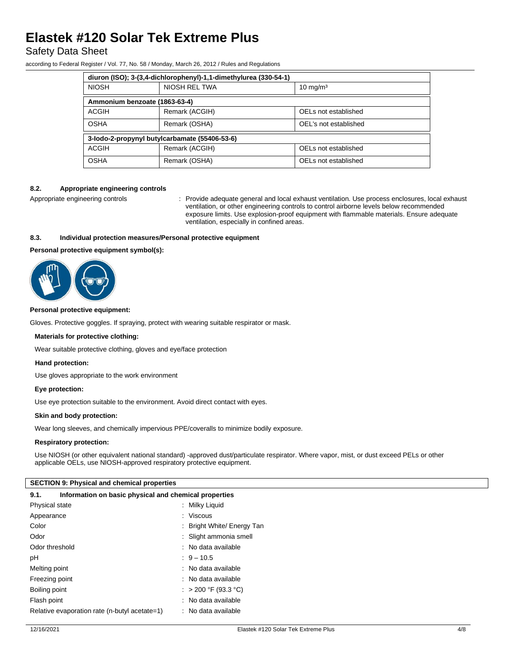Safety Data Sheet

according to Federal Register / Vol. 77, No. 58 / Monday, March 26, 2012 / Rules and Regulations

| diuron (ISO); 3-(3,4-dichlorophenyl)-1,1-dimethylurea (330-54-1) |                |                       |
|------------------------------------------------------------------|----------------|-----------------------|
| <b>NIOSH</b>                                                     | NIOSH REL TWA  | $10 \text{ mg/m}^3$   |
| Ammonium benzoate (1863-63-4)                                    |                |                       |
| ACGIH                                                            | Remark (ACGIH) | OELs not established  |
| <b>OSHA</b>                                                      | Remark (OSHA)  | OEL's not established |
| 3-lodo-2-propynyl butylcarbamate (55406-53-6)                    |                |                       |
| ACGIH                                                            | Remark (ACGIH) | OELs not established  |
| <b>OSHA</b>                                                      | Remark (OSHA)  | OELs not established  |

#### **8.2. Appropriate engineering controls**

Appropriate engineering controls : Provide adequate general and local exhaust ventilation. Use process enclosures, local exhaust ventilation, or other engineering controls to control airborne levels below recommended exposure limits. Use explosion-proof equipment with flammable materials. Ensure adequate ventilation, especially in confined areas.

#### **8.3. Individual protection measures/Personal protective equipment**

### **Personal protective equipment symbol(s):**



#### **Personal protective equipment:**

Gloves. Protective goggles. If spraying, protect with wearing suitable respirator or mask.

#### **Materials for protective clothing:**

Wear suitable protective clothing, gloves and eye/face protection

#### **Hand protection:**

Use gloves appropriate to the work environment

#### **Eye protection:**

Use eye protection suitable to the environment. Avoid direct contact with eyes.

#### **Skin and body protection:**

Wear long sleeves, and chemically impervious PPE/coveralls to minimize bodily exposure.

#### **Respiratory protection:**

Use NIOSH (or other equivalent national standard) -approved dust/particulate respirator. Where vapor, mist, or dust exceed PELs or other applicable OELs, use NIOSH-approved respiratory protective equipment.

### **SECTION 9: Physical and chemical properties**

| Information on basic physical and chemical properties<br>9.1. |                            |
|---------------------------------------------------------------|----------------------------|
| Physical state                                                | : Milky Liquid             |
| Appearance                                                    | : Viscous                  |
| Color                                                         | : Bright White/ Energy Tan |
| Odor                                                          | : Slight ammonia smell     |
| Odor threshold                                                | : No data available        |
| рH                                                            | $9 - 10.5$                 |
| Melting point                                                 | : No data available        |
| Freezing point                                                | : No data available        |
| Boiling point                                                 | : > 200 °F (93.3 °C)       |
| Flash point                                                   | : No data available        |
| Relative evaporation rate (n-butyl acetate=1)                 | : No data available        |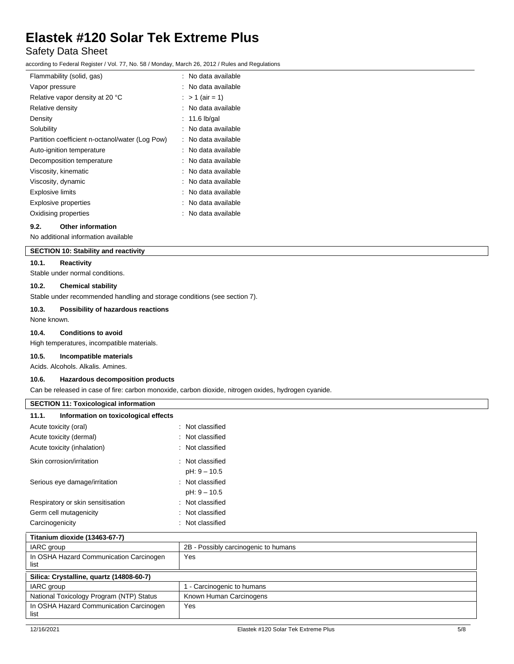# Safety Data Sheet

according to Federal Register / Vol. 77, No. 58 / Monday, March 26, 2012 / Rules and Regulations

| Flammability (solid, gas)                       | : No data available |
|-------------------------------------------------|---------------------|
| Vapor pressure                                  | : No data available |
| Relative vapor density at 20 °C                 | : > 1 (air = 1)     |
| Relative density                                | : No data available |
| Density                                         | $: 11.6$ lb/gal     |
| Solubility                                      | : No data available |
| Partition coefficient n-octanol/water (Log Pow) | : No data available |
| Auto-ignition temperature                       | : No data available |
| Decomposition temperature                       | : No data available |
| Viscosity, kinematic                            | : No data available |
| Viscosity, dynamic                              | : No data available |
| Explosive limits                                | : No data available |
| <b>Explosive properties</b>                     | : No data available |
| Oxidising properties                            | : No data available |
|                                                 |                     |

# **9.2. Other information**

No additional information available

# **SECTION 10: Stability and reactivity**

#### **10.1. Reactivity**

Stable under normal conditions.

#### **10.2. Chemical stability**

Stable under recommended handling and storage conditions (see section 7).

#### **10.3. Possibility of hazardous reactions**

None known.

# **10.4. Conditions to avoid**

High temperatures, incompatible materials.

**10.5. Incompatible materials**

Acids. Alcohols. Alkalis. Amines.

# **10.6. Hazardous decomposition products**

Can be released in case of fire: carbon monoxide, carbon dioxide, nitrogen oxides, hydrogen cyanide.

#### **SECTION 11: Toxicological information**

| Information on toxicological effects<br>11.1. |                  |
|-----------------------------------------------|------------------|
| Acute toxicity (oral)                         | Not classified   |
| Acute toxicity (dermal)                       | : Not classified |
| Acute toxicity (inhalation)                   | : Not classified |
| Skin corrosion/irritation                     | : Not classified |
|                                               | pH: 9 - 10.5     |
| Serious eye damage/irritation                 | Not classified   |
|                                               | pH: 9 - 10.5     |
| Respiratory or skin sensitisation             | : Not classified |
| Germ cell mutagenicity                        | : Not classified |
| Carcinogenicity                               | : Not classified |

| Titanium dioxide (13463-67-7)                   |                                      |  |
|-------------------------------------------------|--------------------------------------|--|
| IARC group                                      | 2B - Possibly carcinogenic to humans |  |
| In OSHA Hazard Communication Carcinogen<br>list | Yes                                  |  |
| Silica: Crystalline, quartz (14808-60-7)        |                                      |  |
| IARC group                                      | - Carcinogenic to humans             |  |
| National Toxicology Program (NTP) Status        | Known Human Carcinogens              |  |
| In OSHA Hazard Communication Carcinogen<br>list | Yes                                  |  |
|                                                 |                                      |  |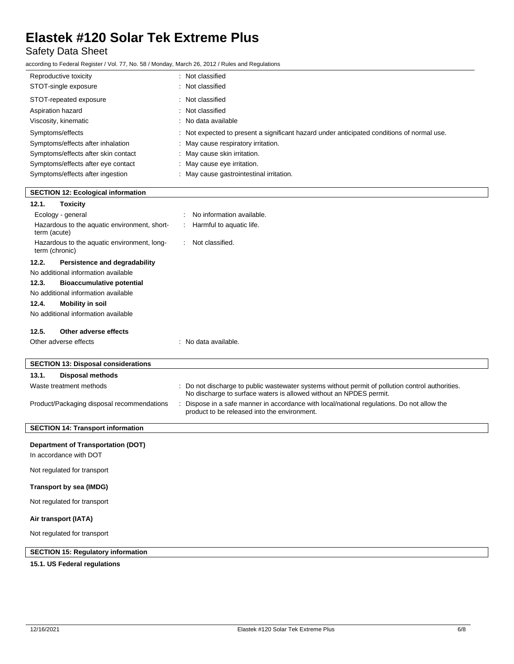# Safety Data Sheet

according to Federal Register / Vol. 77, No. 58 / Monday, March 26, 2012 / Rules and Regulations

| Reproductive toxicity<br>STOT-single exposure | : Not classified<br>: Not classified                                                       |
|-----------------------------------------------|--------------------------------------------------------------------------------------------|
| STOT-repeated exposure                        | : Not classified                                                                           |
| Aspiration hazard                             | : Not classified                                                                           |
| Viscosity, kinematic                          | : No data available                                                                        |
| Symptoms/effects                              | : Not expected to present a significant hazard under anticipated conditions of normal use. |
| Symptoms/effects after inhalation             | : May cause respiratory irritation.                                                        |
| Symptoms/effects after skin contact           | : May cause skin irritation.                                                               |
| Symptoms/effects after eye contact            | : May cause eye irritation.                                                                |
| Symptoms/effects after ingestion              | : May cause gastrointestinal irritation.                                                   |

# **SECTION 12: Ecological information 12.1. Toxicity** Ecology - general intervals and the cology - general intervals are intervals and the cology - general intervals and the cology -  $\sim$  100 information available. Hazardous to the aquatic environment, shortterm (acute) : Harmful to aquatic life. Hazardous to the aquatic environment, longterm (chronic) : Not classified. **12.2. Persistence and degradability** No additional information available **12.3. Bioaccumulative potential** No additional information available **12.4. Mobility in soil** No additional information available **12.5. Other adverse effects** Other adverse effects in the set of the set of the set of the set of the set of the set of the set of the set o **SECTION 13: Disposal considerations 13.1. Disposal methods** Waste treatment methods : Do not discharge to public wastewater systems without permit of pollution control authorities. No discharge to surface waters is allowed without an NPDES permit. Product/Packaging disposal recommendations : Dispose in a safe manner in accordance with local/national regulations. Do not allow the product to be released into the environment. **SECTION 14: Transport information Department of Transportation (DOT)** In accordance with DOT Not regulated for transport **Transport by sea (IMDG)** Not regulated for transport **Air transport (IATA)** Not regulated for transport

## **SECTION 15: Regulatory information**

#### **15.1. US Federal regulations**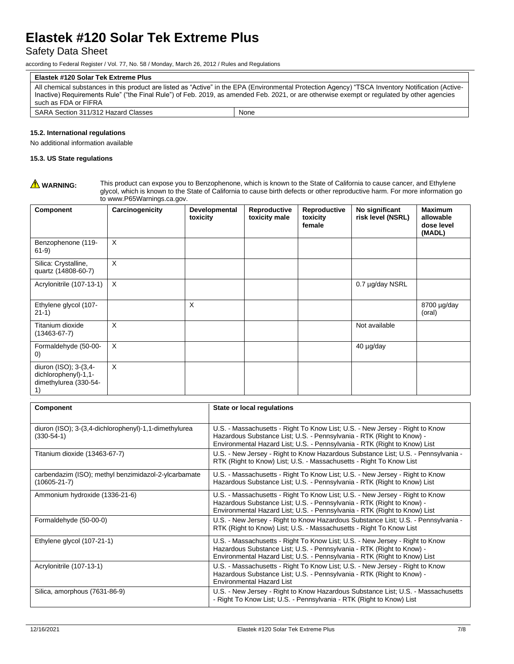Safety Data Sheet

according to Federal Register / Vol. 77, No. 58 / Monday, March 26, 2012 / Rules and Regulations

# **Elastek #120 Solar Tek Extreme Plus**

All chemical substances in this product are listed as "Active" in the EPA (Environmental Protection Agency) "TSCA Inventory Notification (Active-Inactive) Requirements Rule" ("the Final Rule") of Feb. 2019, as amended Feb. 2021, or are otherwise exempt or regulated by other agencies such as FDA or FIFRA

| SARA<br><sup>1</sup> Classes<br>' 311/312 ה<br>.<br>Section<br>Hazard<br>,, ب<br>. | None<br>____ |
|------------------------------------------------------------------------------------|--------------|
|                                                                                    |              |

## **15.2. International regulations**

No additional information available

# **15.3. US State regulations**

WARNING: This product can expose you to Benzophenone, which is known to the State of California to cause cancer, and Ethylene glycol, which is known to the State of California to cause birth defects or other reproductive harm. For more information go to www.P65Warnings.ca.gov.

| Component                                                                    | Carcinogenicity | Developmental<br>toxicity | Reproductive<br>toxicity male | Reproductive<br>toxicity<br>female | No significant<br>risk level (NSRL) | <b>Maximum</b><br>allowable<br>dose level<br>(MADL) |
|------------------------------------------------------------------------------|-----------------|---------------------------|-------------------------------|------------------------------------|-------------------------------------|-----------------------------------------------------|
| Benzophenone (119-<br>$61-9)$                                                | X               |                           |                               |                                    |                                     |                                                     |
| Silica: Crystalline,<br>quartz (14808-60-7)                                  | $\times$        |                           |                               |                                    |                                     |                                                     |
| Acrylonitrile (107-13-1)                                                     | X               |                           |                               |                                    | 0.7 µg/day NSRL                     |                                                     |
| Ethylene glycol (107-<br>$21-1)$                                             |                 | $\times$                  |                               |                                    |                                     | 8700 µg/day<br>(oral)                               |
| Titanium dioxide<br>$(13463 - 67 - 7)$                                       | X               |                           |                               |                                    | Not available                       |                                                     |
| Formaldehyde (50-00-<br>$\left( 0\right)$                                    | X               |                           |                               |                                    | 40 µg/day                           |                                                     |
| diuron (ISO); 3-(3,4-<br>dichlorophenyl)-1,1-<br>dimethylurea (330-54-<br>1) | X               |                           |                               |                                    |                                     |                                                     |

| Component                                                                  | State or local regulations                                                                                                                                                                                                         |
|----------------------------------------------------------------------------|------------------------------------------------------------------------------------------------------------------------------------------------------------------------------------------------------------------------------------|
| diuron (ISO); 3-(3,4-dichlorophenyl)-1,1-dimethylurea<br>$(330-54-1)$      | U.S. - Massachusetts - Right To Know List; U.S. - New Jersey - Right to Know<br>Hazardous Substance List; U.S. - Pennsylvania - RTK (Right to Know) -<br>Environmental Hazard List; U.S. - Pennsylvania - RTK (Right to Know) List |
| Titanium dioxide (13463-67-7)                                              | U.S. - New Jersey - Right to Know Hazardous Substance List; U.S. - Pennsylvania -<br>RTK (Right to Know) List; U.S. - Massachusetts - Right To Know List                                                                           |
| carbendazim (ISO); methyl benzimidazol-2-ylcarbamate<br>$(10605 - 21 - 7)$ | U.S. - Massachusetts - Right To Know List; U.S. - New Jersey - Right to Know<br>Hazardous Substance List; U.S. - Pennsylvania - RTK (Right to Know) List                                                                           |
| Ammonium hydroxide (1336-21-6)                                             | U.S. - Massachusetts - Right To Know List; U.S. - New Jersey - Right to Know<br>Hazardous Substance List; U.S. - Pennsylvania - RTK (Right to Know) -<br>Environmental Hazard List; U.S. - Pennsylvania - RTK (Right to Know) List |
| Formaldehyde (50-00-0)                                                     | U.S. - New Jersey - Right to Know Hazardous Substance List; U.S. - Pennsylvania -<br>RTK (Right to Know) List; U.S. - Massachusetts - Right To Know List                                                                           |
| Ethylene glycol (107-21-1)                                                 | U.S. - Massachusetts - Right To Know List; U.S. - New Jersey - Right to Know<br>Hazardous Substance List; U.S. - Pennsylvania - RTK (Right to Know) -<br>Environmental Hazard List; U.S. - Pennsylvania - RTK (Right to Know) List |
| Acrylonitrile (107-13-1)                                                   | U.S. - Massachusetts - Right To Know List; U.S. - New Jersey - Right to Know<br>Hazardous Substance List; U.S. - Pennsylvania - RTK (Right to Know) -<br><b>Environmental Hazard List</b>                                          |
| Silica, amorphous (7631-86-9)                                              | U.S. - New Jersey - Right to Know Hazardous Substance List; U.S. - Massachusetts<br>- Right To Know List; U.S. - Pennsylvania - RTK (Right to Know) List                                                                           |